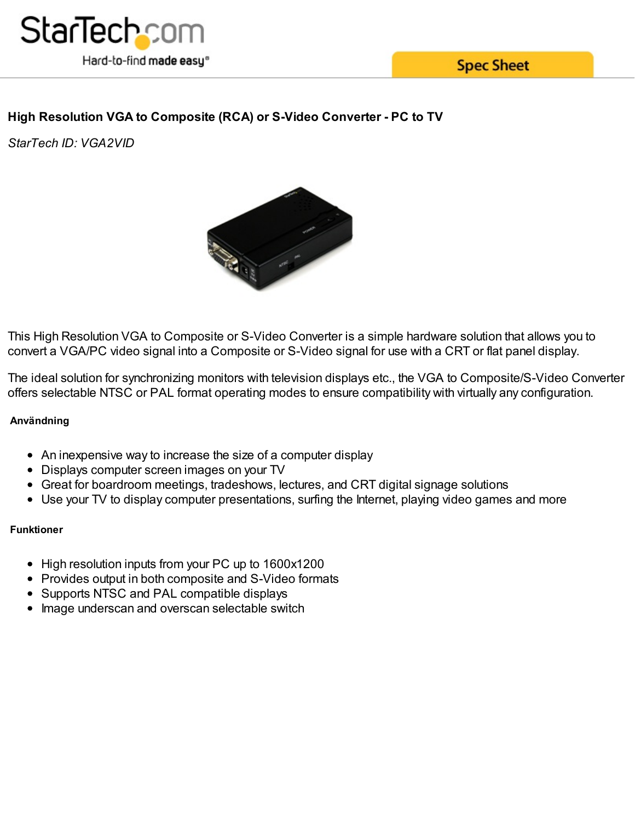

**Spec Sheet** 

# **High Resolution VGA to Composite (RCA) or S-Video Converter - PC to TV**

*StarTech ID: VGA2VID*



This High Resolution VGA to Composite or S-Video Converter is a simple hardware solution that allows you to convert a VGA/PC video signal into a Composite or S-Video signal for use with a CRT or flat panel display.

The ideal solution for synchronizing monitors with television displays etc., the VGA to Composite/S-Video Converter offers selectable NTSC or PAL format operating modes to ensure compatibility with virtually any configuration.

# **Användning**

- An inexpensive way to increase the size of a computer display
- Displays computer screen images on your TV
- Great for boardroom meetings, tradeshows, lectures, and CRT digital signage solutions
- Use your TV to display computer presentations, surfing the Internet, playing video games and more

## **Funktioner**

- High resolution inputs from your PC up to 1600x1200
- Provides output in both composite and S-Video formats
- Supports NTSC and PAL compatible displays
- Image underscan and overscan selectable switch